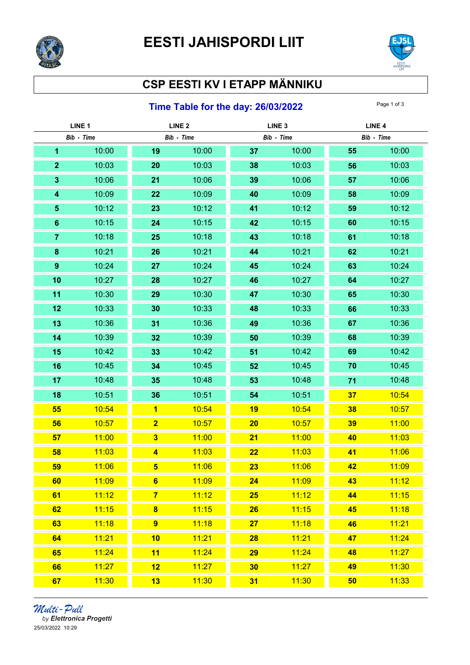



## CSP EESTI KV I ETAPP MÄNNIKU

## **Time Table for the day: 26/03/2022** Page 1 of 3

| LINE <sub>1</sub> |       | LINE <sub>2</sub>       |            | LINE <sub>3</sub> |            | LINE <sub>4</sub> |            |
|-------------------|-------|-------------------------|------------|-------------------|------------|-------------------|------------|
| Bib - Time        |       |                         | Bib - Time |                   | Bib - Time |                   | Bib - Time |
| 1                 | 10:00 | 19                      | 10:00      | 37                | 10:00      | 55                | 10:00      |
| $\mathbf{2}$      | 10:03 | 20                      | 10:03      | 38                | 10:03      | 56                | 10:03      |
| $\mathbf{3}$      | 10:06 | 21                      | 10:06      | 39                | 10:06      | 57                | 10:06      |
| 4                 | 10:09 | 22                      | 10:09      | 40                | 10:09      | 58                | 10:09      |
| $\sqrt{5}$        | 10:12 | 23                      | 10:12      | 41                | 10:12      | 59                | 10:12      |
| $6\phantom{1}$    | 10:15 | 24                      | 10:15      | 42                | 10:15      | 60                | 10:15      |
| $\overline{7}$    | 10:18 | 25                      | 10:18      | 43                | 10:18      | 61                | 10:18      |
| $\bf8$            | 10:21 | 26                      | 10:21      | 44                | 10:21      | 62                | 10:21      |
| $\boldsymbol{9}$  | 10:24 | 27                      | 10:24      | 45                | 10:24      | 63                | 10:24      |
| 10                | 10:27 | 28                      | 10:27      | 46                | 10:27      | 64                | 10:27      |
| 11                | 10:30 | 29                      | 10:30      | 47                | 10:30      | 65                | 10:30      |
| 12                | 10:33 | 30                      | 10:33      | 48                | 10:33      | 66                | 10:33      |
| 13                | 10:36 | 31                      | 10:36      | 49                | 10:36      | 67                | 10:36      |
| 14                | 10:39 | 32                      | 10:39      | 50                | 10:39      | 68                | 10:39      |
| 15                | 10:42 | 33                      | 10:42      | 51                | 10:42      | 69                | 10:42      |
| 16                | 10:45 | 34                      | 10:45      | 52                | 10:45      | 70                | 10:45      |
| 17                | 10:48 | 35                      | 10:48      | 53                | 10:48      | 71                | 10:48      |
| 18                | 10:51 | 36                      | 10:51      | 54                | 10:51      | 37                | 10:54      |
| 55                | 10:54 | $\overline{\mathbf{1}}$ | 10:54      | 19                | 10:54      | 38                | 10:57      |
| 56                | 10:57 | $\overline{\mathbf{2}}$ | 10:57      | 20                | 10:57      | 39                | 11:00      |
| 57                | 11:00 | $\overline{\mathbf{3}}$ | 11:00      | 21                | 11:00      | 40                | 11:03      |
| 58                | 11:03 | $\overline{\mathbf{4}}$ | 11:03      | 22                | 11:03      | 41                | 11:06      |
| 59                | 11:06 | $5\phantom{1}$          | 11:06      | 23                | 11:06      | 42                | 11:09      |
| 60                | 11:09 | $6\phantom{1}$          | 11:09      | 24                | 11:09      | 43                | 11:12      |
| 61                | 11:12 | $\overline{7}$          | 11:12      | <b>25</b>         | 11:12      | 44                | 11:15      |
| 62                | 11:15 | $\bf{8}$                | 11:15      | 26                | 11:15      | 45                | 11:18      |
| 63                | 11:18 | $\overline{9}$          | 11:18      | 27                | 11:18      | 46                | 11:21      |
| 64                | 11:21 | 10                      | 11:21      | <b>28</b>         | 11:21      | 47                | 11:24      |
| 65                | 11:24 | 11                      | 11:24      | 29                | 11:24      | 48                | 11:27      |
| 66                | 11:27 | 12                      | 11:27      | 30                | 11:27      | 49                | 11:30      |
| 67                | 11:30 | 13                      | 11:30      | 31                | 11:30      | 50                | 11:33      |

*Multi - Pull*<br>by Elettronica Progetti 25/03/2022 10:29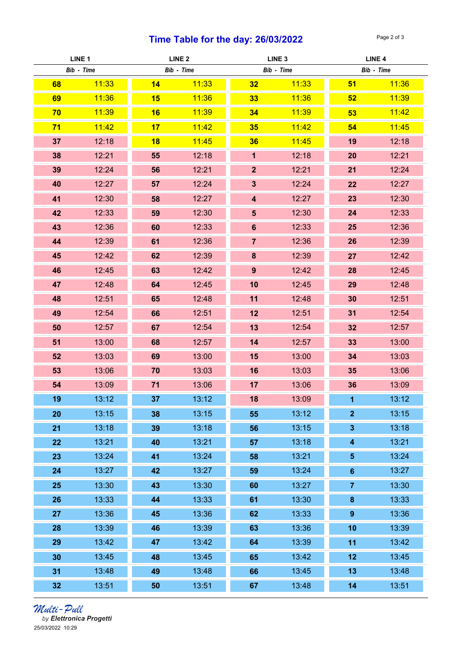## Time Table for the day:  $26/03/2022$  Page 2 of 3

| LINE <sub>1</sub> |       | LINE <sub>2</sub> |            | LINE <sub>3</sub>       |            | LINE <sub>4</sub>       |            |
|-------------------|-------|-------------------|------------|-------------------------|------------|-------------------------|------------|
| Bib - Time        |       |                   | Bib - Time |                         | Bib - Time |                         | Bib - Time |
| 68                | 11:33 | 14                | 11:33      | 32                      | 11:33      | 51                      | 11:36      |
| 69                | 11:36 | 15                | 11:36      | 33                      | 11:36      | 52                      | 11:39      |
| 70                | 11:39 | 16                | 11:39      | 34                      | 11:39      | 53                      | 11:42      |
| 71                | 11:42 | 17                | 11:42      | 35                      | 11:42      | 54                      | 11:45      |
| 37                | 12:18 | 18                | 11:45      | 36                      | 11:45      | 19                      | 12:18      |
| 38                | 12:21 | 55                | 12:18      | $\mathbf 1$             | 12:18      | 20                      | 12:21      |
| 39                | 12:24 | 56                | 12:21      | 2 <sup>2</sup>          | 12:21      | 21                      | 12:24      |
| 40                | 12:27 | 57                | 12:24      | 3 <sup>5</sup>          | 12:24      | 22                      | 12:27      |
| 41                | 12:30 | 58                | 12:27      | $\overline{\mathbf{4}}$ | 12:27      | 23                      | 12:30      |
| 42                | 12:33 | 59                | 12:30      | $5\phantom{1}$          | 12:30      | 24                      | 12:33      |
| 43                | 12:36 | 60                | 12:33      | $6\phantom{a}$          | 12:33      | 25                      | 12:36      |
| 44                | 12:39 | 61                | 12:36      | $\overline{7}$          | 12:36      | 26                      | 12:39      |
| 45                | 12:42 | 62                | 12:39      | 8                       | 12:39      | 27                      | 12:42      |
| 46                | 12:45 | 63                | 12:42      | 9                       | 12:42      | 28                      | 12:45      |
| 47                | 12:48 | 64                | 12:45      | 10                      | 12:45      | 29                      | 12:48      |
| 48                | 12:51 | 65                | 12:48      | 11                      | 12:48      | 30                      | 12:51      |
| 49                | 12:54 | 66                | 12:51      | 12                      | 12:51      | 31                      | 12:54      |
| 50                | 12:57 | 67                | 12:54      | 13                      | 12:54      | 32                      | 12:57      |
| 51                | 13:00 | 68                | 12:57      | 14                      | 12:57      | 33                      | 13:00      |
| 52                | 13:03 | 69                | 13:00      | 15                      | 13:00      | 34                      | 13:03      |
| 53                | 13:06 | 70                | 13:03      | 16                      | 13:03      | 35                      | 13:06      |
| 54                | 13:09 | 71                | 13:06      | 17                      | 13:06      | 36                      | 13:09      |
| 19                | 13:12 | 37                | 13:12      | 18                      | 13:09      | $\mathbf{1}$            | 13:12      |
| 20                | 13:15 | 38                | 13:15      | 55                      | 13:12      | $\overline{2}$          | 13:15      |
| 21                | 13:18 | 39                | 13:18      | 56                      | 13:15      | $\overline{\mathbf{3}}$ | 13:18      |
| 22                | 13:21 | 40                | 13:21      | 57                      | 13:18      | $\overline{\mathbf{4}}$ | 13:21      |
| 23                | 13:24 | 41                | 13:24      | 58                      | 13:21      | $\sqrt{5}$              | 13:24      |
| 24                | 13:27 | 42                | 13:27      | 59                      | 13:24      | $6\phantom{a}$          | 13:27      |
| 25                | 13:30 | 43                | 13:30      | 60                      | 13:27      | $\overline{7}$          | 13:30      |
| 26                | 13:33 | 44                | 13:33      | 61                      | 13:30      | $\pmb{8}$               | 13:33      |
| 27                | 13:36 | 45                | 13:36      | 62                      | 13:33      | $9$                     | 13:36      |
| 28                | 13:39 | 46                | 13:39      | 63                      | 13:36      | 10                      | 13:39      |
| 29                | 13:42 | 47                | 13:42      | 64                      | 13:39      | 11                      | 13:42      |
| 30                | 13:45 | 48                | 13:45      | 65                      | 13:42      | 12                      | 13:45      |
| 31                | 13:48 | 49                | 13:48      | 66                      | 13:45      | 13                      | 13:48      |
| 32                | 13:51 | 50                | 13:51      | 67                      | 13:48      | 14                      | 13:51      |